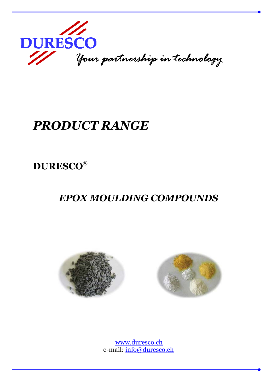

# PRODUCT RANGE

## DURESCO®

## EPOX MOULDING COMPOUNDS





 www.duresco.ch e-mail: info@duresco.ch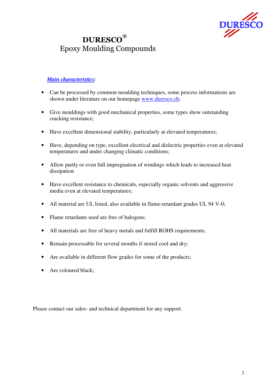

#### DURESCO® Epoxy Moulding Compounds

#### *Main characteristics:*

- Can be processed by common moulding techniques, some process informations are shown under literature on our homepage www.duresco.ch;
- Give mouldings with good mechanical properties, some types show outstanding cracking resistance;
- Have excellent dimensional stability, particularly at elevated temperatures;
- Have, depending on type, excellent electrical and dielectric properties even at elevated temperatures and under changing climatic conditions;
- Allow partly or even full impregnation of windings which leads to increased heat dissipation
- Have excellent resistance to chemicals, especially organic solvents and aggressive media even at elevated temperatures;
- All material are UL listed, also available in flame-retardant grades UL 94 V-0;
- Flame retardants used are free of halogens;
- All materials are free of heavy metals and fulfill ROHS requirements;
- Remain processable for several months if stored cool and dry;
- Are available in different flow grades for some of the products;
- Are coloured black;

Please contact our sales- and technical department for any support.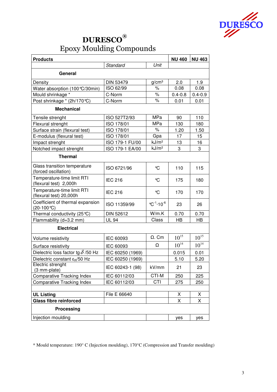

| <b>Products</b>                                       |                  |                                              | <b>NU 460</b> | <b>NU 463</b> |  |  |
|-------------------------------------------------------|------------------|----------------------------------------------|---------------|---------------|--|--|
|                                                       | Standard         | Unit                                         |               |               |  |  |
| General                                               |                  |                                              |               |               |  |  |
| Density                                               | <b>DIN 53479</b> | g/cm <sup>3</sup>                            | 2.0           | 1.9           |  |  |
| Water absorption (100 °C/30min)                       | ISO 62/99        | $\%$                                         | 0.08          | 0.08          |  |  |
| Mould shrinkage *                                     | C-Norm           | $\%$                                         | $0.4 - 0.8$   | $0.4 - 0.9$   |  |  |
| Post shrinkage * (2h/170℃)                            | C-Norm           | $\%$                                         | 0.01          | 0.01          |  |  |
| <b>Mechanical</b>                                     |                  |                                              |               |               |  |  |
| Tensile strenght                                      | ISO 527T2/93     | MPa                                          | 90            | 110           |  |  |
| Flexural strenght                                     | ISO 178/01       | MPa                                          | 130           | 180           |  |  |
| Surface strain (flexural test)                        | ISO 178/01       | $\%$                                         | 1.20          | 1.50          |  |  |
| E-modulus (flexural test)                             | ISO 178/01       | Gpa                                          | 17            | 15            |  |  |
| Impact strenght                                       | ISO 179-1 FU/00  | kJ/m <sup>2</sup>                            | 13            | 16            |  |  |
| Notched impact strenght                               | ISO 179-1 EA/00  | kJ/m <sup>2</sup>                            | 3             | 3             |  |  |
| <b>Thermal</b>                                        |                  |                                              |               |               |  |  |
| Glass transition temperature<br>(forced oscillation)  | ISO 6721/96      | °C                                           | 110           | 115           |  |  |
| Temperature-time limit RTI<br>(flexural test) 2,000h  | <b>IEC 216</b>   | $\mathrm{C}$                                 | 175           | 180           |  |  |
| Temperature-time limit RTI<br>(flexural test) 20,000h | <b>IEC 216</b>   | $\mathrm{C}$                                 | 170           | 170           |  |  |
| Coefficient of thermal expansion<br>$(20-100 °C)$     | ISO 11359/99     | $^{\circ}$ C <sup>-1</sup> -10 <sup>-6</sup> | 23            | 26            |  |  |
| Thermal conductivity (25 °C)                          | <b>DIN 52612</b> | W/m.K                                        | 0.70          | 0.70          |  |  |
| Flammability (d=3.2 mm)                               | <b>UL 94</b>     | Class                                        | <b>HB</b>     | <b>HB</b>     |  |  |
| <b>Electrical</b>                                     |                  |                                              |               |               |  |  |
| Volume resistivity                                    | IEC 60093        | $\Omega$ . Cm                                | $10^{15}$     | $10^{15}\,$   |  |  |
| Surface resistivity                                   | IEC 60093        | Ω                                            | $10^{14}$     | $10^{14}$     |  |  |
| Dielectric loss factor tg $\delta$ /50 Hz             | IEC 60250 (1969) |                                              | 0.015         | 0.01          |  |  |
| Dielectric constant $\epsilon_{\rm B}$ /50 Hz         | IEC 60250 (1969) |                                              | 5.10          | 5.20          |  |  |
| Electric strenght<br>(3 mm-plate)                     | IEC 60243-1 (98) | kV/mm                                        | 21            | 23            |  |  |
| <b>Comparative Tracking Index</b>                     | IEC 60112/03     | CTI-M                                        | 250           | 225           |  |  |
| <b>Comparative Tracking Index</b>                     | IEC 60112/03     | CTI                                          | 275           | 250           |  |  |
|                                                       |                  |                                              |               |               |  |  |
| <b>UL Listing</b>                                     | File E 66640     |                                              | X             | X             |  |  |
| <b>Glass fibre reinforced</b>                         |                  |                                              | X             | Χ             |  |  |
| <b>Processing</b>                                     |                  |                                              |               |               |  |  |
| Injection moulding                                    |                  |                                              | yes           | yes           |  |  |

\* Mould temperature: 190° C (Injection moulding), 170°C (Compression and Transfer moulding)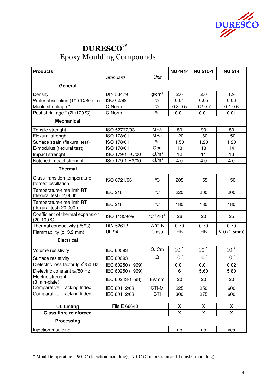

| <b>Products</b>                                         |                  |                                              | <b>NU 4414</b> | <b>NU 510-1</b> | <b>NU 514</b> |
|---------------------------------------------------------|------------------|----------------------------------------------|----------------|-----------------|---------------|
|                                                         | Standard         | Unit                                         |                |                 |               |
| General                                                 |                  |                                              |                |                 |               |
| Density                                                 | <b>DIN 53479</b> | g/cm <sup>3</sup>                            | 2.0            | 2.0             | 1.9           |
| Water absorption (100 °C/30min)                         | ISO 62/99        | %                                            | 0.04           | 0.05            | 0.06          |
| Mould shrinkage *                                       | C-Norm           | $\%$                                         | $0.3 - 0.5$    | $0.2 - 0.7$     | $0.4 - 0.6$   |
| Post shrinkage * (2h/170℃)                              | C-Norm           | $\%$                                         | 0.01           | 0.01            | 0.01          |
| <b>Mechanical</b>                                       |                  |                                              |                |                 |               |
| Tensile strenght                                        | ISO 527T2/93     | MPa                                          | 80             | 90              | 80            |
| Flexural strenght                                       | ISO 178/01       | <b>MPa</b>                                   | 120            | 160             | 150           |
| Surface strain (flexural test)                          | ISO 178/01       | $\%$                                         | 1.50           | 1.20            | 1.20          |
| E-modulus (flexural test)                               | ISO 178/01       | Gpa                                          | 13             | 18              | 14            |
| Impact strenght                                         | ISO 179-1 FU/00  | kJ/m <sup>2</sup>                            | 12             | 11              | 13            |
| Notched impact strenght                                 | ISO 179-1 EA/00  | kJ/m <sup>2</sup>                            | 4.0            | 4.0             | 4.0           |
| <b>Thermal</b>                                          |                  |                                              |                |                 |               |
| Glass transition temperature<br>(forced oscillation)    | ISO 6721/96      | °C                                           | 205            | 155             | 150           |
| Temperature-time limit RTI<br>(flexural test) 2,000h    | <b>IEC 216</b>   | °C                                           | 220            | 200             | 200           |
| Temperature-time limit RTI<br>(flexural test) 20,000h   | <b>IEC 216</b>   | $\mathrm{C}$                                 | 180            | 180             | 180           |
| Coefficient of thermal expansion<br>$(20-100^{\circ}C)$ | ISO 11359/99     | $^{\circ}$ C <sup>-1</sup> -10 <sup>-6</sup> | 26             | 20              | 25            |
| Thermal conductivity (25 °C)                            | <b>DIN 52612</b> | W/m.K                                        | 0.70           | 0.70            | 0.70          |
| Flammability (d=3.2 mm)                                 | <b>UL 94</b>     | Class                                        | <b>HB</b>      | HB              | $V-0$ (1.5mm) |
| <b>Electrical</b>                                       |                  |                                              |                |                 |               |
| Volume resistivity                                      | IEC 60093        | $\Omega$ . Cm                                | $10^{15}\,$    | $10^{15}$       | $10^{14}\,$   |
| Surface resistivity                                     | IEC 60093        | Ω                                            | $10^{14}$      | $10^{14}$       | $10^{14}$     |
| Dielectric loss factor tg $\delta$ /50 Hz               | IEC 60250 (1969) |                                              | 0.01           | 0.01            | 0.02          |
| Dielectric constant $\epsilon_R/50$ Hz                  | IEC 60250 (1969) |                                              | 6              | 5.60            | 5.80          |
| Electric strenght<br>(3 mm-plate)                       | IEC 60243-1 (98) | kV/mm                                        | 20             | 20              | 20            |
| <b>Comparative Tracking Index</b>                       | IEC 60112/03     | CTI-M                                        | 225            | 250             | 600           |
| <b>Comparative Tracking Index</b>                       | IEC 60112/03     | CTI                                          | 300            | 275             | 600           |
|                                                         |                  |                                              |                |                 |               |
| <b>UL Listing</b>                                       | File E 66640     |                                              | X              | X               | X             |
| <b>Glass fibre reinforced</b>                           |                  |                                              | X              | X               | X             |
| <b>Processing</b>                                       |                  |                                              |                |                 |               |
| Injection moulding                                      |                  |                                              | no             | no              | yes           |

\* Mould temperature: 190° C (Injection moulding), 170°C (Compression and Transfer moulding)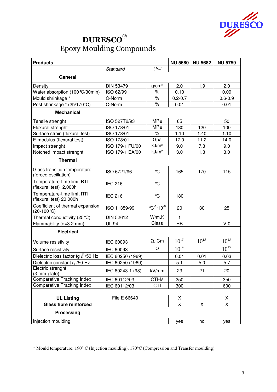

| <b>Products</b>                                       |                  | <b>NU 5680</b>                               | <b>NU 5682</b> | <b>NU 5759</b> |             |  |
|-------------------------------------------------------|------------------|----------------------------------------------|----------------|----------------|-------------|--|
|                                                       | Standard         | Unit                                         |                |                |             |  |
| General                                               |                  |                                              |                |                |             |  |
| Density                                               | <b>DIN 53479</b> | g/cm <sup>3</sup>                            | 2.0            | 1.9            | 2.0         |  |
| Water absorption (100 °C/30min)                       | ISO 62/99        | %                                            | 0.10           |                | 0.09        |  |
| Mould shrinkage *                                     | C-Norm           | $\%$                                         | $0.2 - 0.7$    |                | $0.6 - 0.9$ |  |
| Post shrinkage * (2h/170℃)                            | C-Norm           | $\%$                                         | 0.01           |                | 0.01        |  |
| <b>Mechanical</b>                                     |                  |                                              |                |                |             |  |
| Tensile strenght                                      | ISO 527T2/93     | MPa                                          | 65             |                | 50          |  |
| Flexural strenght                                     | ISO 178/01       | <b>MPa</b>                                   | 130            | 120            | 100         |  |
| Surface strain (flexural test)                        | ISO 178/01       | $\%$                                         | 1.10           | 1.40           | 1.10        |  |
| E-modulus (flexural test)                             | ISO 178/01       | Gpa                                          | 17.0           | 11.2           | 14.0        |  |
| Impact strenght                                       | ISO 179-1 FU/00  | kJ/m <sup>2</sup>                            | 9.0            | 7.3            | 9.0         |  |
| Notched impact strenght                               | ISO 179-1 EA/00  | kJ/m <sup>2</sup>                            | 3.0            | 1.3            | 3.0         |  |
| <b>Thermal</b>                                        |                  |                                              |                |                |             |  |
| Glass transition temperature<br>(forced oscillation)  | ISO 6721/96      | $\mathrm{C}$                                 | 165            | 170            | 115         |  |
| Temperature-time limit RTI<br>(flexural test) 2,000h  | <b>IEC 216</b>   | °C                                           |                |                |             |  |
| Temperature-time limit RTI<br>(flexural test) 20,000h | <b>IEC 216</b>   | $\mathrm{C}$                                 | 180            |                |             |  |
| Coefficient of thermal expansion<br>(20-100℃)         | ISO 11359/99     | $^{\circ}$ C <sup>-1</sup> -10 <sup>-6</sup> | 20             | 30             | 25          |  |
| Thermal conductivity $(25^{\circ}\text{C})$           | DIN 52612        | W/m.K                                        | 1              |                |             |  |
| Flammability (d=3.2 mm)                               | <b>UL 94</b>     | Class                                        | <b>HB</b>      |                | $V-0$       |  |
| <b>Electrical</b>                                     |                  |                                              |                |                |             |  |
| Volume resistivity                                    | IEC 60093        | $\Omega$ . Cm                                | $10^{15}$      | $10^{15}$      | $10^{15}$   |  |
| Surface resistivity                                   | IEC 60093        | Ω                                            | $10^{14}$      |                | $10^{15}$   |  |
| Dielectric loss factor tg $\delta$ /50 Hz             | IEC 60250 (1969) |                                              | 0.01           | 0.01           | 0.03        |  |
| Dielectric constant $\epsilon_{\rm B}$ /50 Hz         | IEC 60250 (1969) |                                              | 5.1            | 5.0            | 5.7         |  |
| Electric strenght<br>(3 mm-plate)                     | IEC 60243-1 (98) | kV/mm                                        | 23             | 21             | 20          |  |
| <b>Comparative Tracking Index</b>                     | IEC 60112/03     | CTI-M                                        | 250            |                | 350         |  |
| <b>Comparative Tracking Index</b>                     | IEC 60112/03     | CTI                                          | 300            |                | 600         |  |
|                                                       |                  |                                              |                |                |             |  |
| <b>UL Listing</b>                                     | File E 66640     |                                              | X              |                | X           |  |
| <b>Glass fibre reinforced</b>                         |                  |                                              | X              | X              | X           |  |
| <b>Processing</b>                                     |                  |                                              |                |                |             |  |
| Injection moulding                                    |                  |                                              | yes            | no             | yes         |  |

\* Mould temperature: 190° C (Injection moulding), 170°C (Compression and Transfer moulding)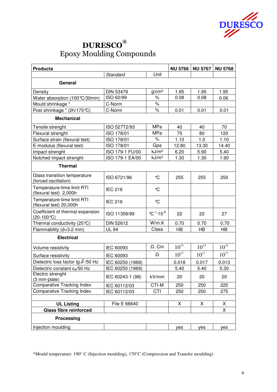

| <b>Products</b>                                       |                  |                                                     | <b>NU 5766</b> | <b>NU 5767</b> | <b>NU 5768</b> |  |
|-------------------------------------------------------|------------------|-----------------------------------------------------|----------------|----------------|----------------|--|
|                                                       | Standard         | Unit                                                |                |                |                |  |
| General                                               |                  |                                                     |                |                |                |  |
| Density                                               | <b>DIN 53479</b> | g/cm <sup>3</sup>                                   | 1.95           | 1.95           | 1.95           |  |
| Water absorption (100 °C/30min)                       | ISO 62/99        | $\%$                                                | 0.08           | 0.08           | 0.06           |  |
| Mould shrinkage *                                     | C-Norm           | $\%$                                                |                |                |                |  |
| Post shrinkage * (2h/170℃)                            | C-Norm           | $\%$                                                | 0.01           | 0.01           | 0.01           |  |
| <b>Mechanical</b>                                     |                  |                                                     |                |                |                |  |
| Tensile strenght                                      | ISO 527T2/93     | <b>MPa</b>                                          | 40             | 40             | 70             |  |
| Flexural strenght                                     | ISO 178/01       | MPa                                                 | 75             | 80             | 120            |  |
| Surface strain (flexural test)                        | ISO 178/01       | %                                                   | 1.10           | 1.0            | 1.10           |  |
| E-modulus (flexural test)                             | ISO 178/01       | Gpa                                                 | 12.80          | 13.30          | 14.40          |  |
| Impact strenght                                       | ISO 179-1 FU/00  | kJ/m <sup>2</sup>                                   | 6.20           | 5.90           | 5.40           |  |
| Notched impact strenght                               | ISO 179-1 EA/00  | kJ/m <sup>2</sup>                                   | 1.30           | 1.30           | 1.90           |  |
| <b>Thermal</b>                                        |                  |                                                     |                |                |                |  |
| Glass transition temperature<br>(forced oscillation)  | ISO 6721/96      | ℃                                                   | 255            | 255            | 250            |  |
| Temperature-time limit RTI<br>(flexural test) 2,000h  | <b>IEC 216</b>   | °C                                                  |                |                |                |  |
| Temperature-time limit RTI<br>(flexural test) 20,000h | <b>IEC 216</b>   | $\mathrm{C}$                                        |                |                |                |  |
| Coefficient of thermal expansion<br>(20-100℃)         | ISO 11359/99     | $^{\circ}$ C <sup>-1</sup> $\cdot$ 10 <sup>-6</sup> | 22             | 22             | 27             |  |
| Thermal conductivity (25 °C)                          | DIN 52612        | W/m.K                                               | 0.70           | 0.70           | 0.70           |  |
| Flammability (d=3.2 mm)                               | <b>UL 94</b>     | Class                                               | <b>HB</b>      | <b>HB</b>      | <b>HB</b>      |  |
| <b>Electrical</b>                                     |                  |                                                     |                |                |                |  |
| Volume resistivity                                    | IEC 60093        | $\Omega$ . Cm                                       | $10^{15}$      | $10^{15}$      | $10^{15}$      |  |
| Surface resistivity                                   | IEC 60093        | Ω                                                   | $10^{17}$      | $10^{17}$      | $10^{17}$      |  |
| Dielectric loss factor tg $\delta$ /50 Hz             | IEC 60250 (1969) |                                                     | 0.018          | 0.017          | 0.013          |  |
| Dielectric constant $\epsilon_{\rm B}$ /50 Hz         | IEC 60250 (1969) |                                                     | 5.40           | 5.40           | 5.30           |  |
| Electric strenght<br>(3 mm-plate)                     | IEC 60243-1 (98) | kV/mm                                               | 20             | 20             | 20             |  |
| <b>Comparative Tracking Index</b>                     | IEC 60112/03     | CTI-M                                               | 250            | 250            | 225            |  |
| <b>Comparative Tracking Index</b>                     | IEC 60112/03     | <b>CTI</b>                                          | 250            | 250            | 275            |  |
|                                                       |                  |                                                     |                |                |                |  |
| <b>UL Listing</b>                                     | File E 66640     |                                                     | X              | X              | X              |  |
| <b>Glass fibre reinforced</b>                         |                  |                                                     |                |                | X              |  |
| <b>Processing</b>                                     |                  |                                                     |                |                |                |  |
| Injection moulding                                    |                  |                                                     | yes            | yes            | yes            |  |

\*Mould temperature: 190° C (Injection moulding), 170°C (Compression and Transfer moulding)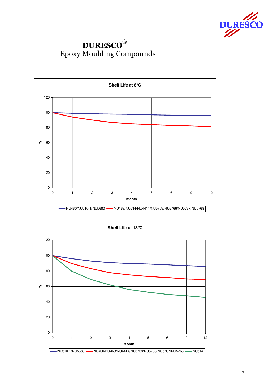

### DURESCO® Epoxy Moulding Compounds